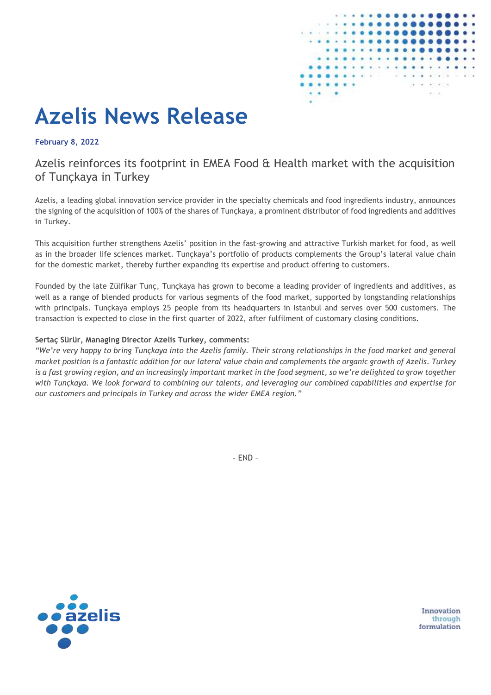

# **Azelis News Release**

**February 8, 2022**

## Azelis reinforces its footprint in EMEA Food & Health market with the acquisition of Tunçkaya in Turkey

Azelis, a leading global innovation service provider in the specialty chemicals and food ingredients industry, announces the signing of the acquisition of 100% of the shares of Tunçkaya, a prominent distributor of food ingredients and additives in Turkey.

This acquisition further strengthens Azelis' position in the fast-growing and attractive Turkish market for food, as well as in the broader life sciences market. Tunçkaya's portfolio of products complements the Group's lateral value chain for the domestic market, thereby further expanding its expertise and product offering to customers.

Founded by the late Zülfikar Tunç, Tunçkaya has grown to become a leading provider of ingredients and additives, as well as a range of blended products for various segments of the food market, supported by longstanding relationships with principals. Tunçkaya employs 25 people from its headquarters in Istanbul and serves over 500 customers. The transaction is expected to close in the first quarter of 2022, after fulfilment of customary closing conditions.

#### **Sertaç Sürür, Managing Director Azelis Turkey, comments:**

*"We're very happy to bring Tunçkaya into the Azelis family. Their strong relationships in the food market and general market position is a fantastic addition for our lateral value chain and complements the organic growth of Azelis. Turkey is a fast growing region, and an increasingly important market in the food segment, so we're delighted to grow together with Tunçkaya. We look forward to combining our talents, and leveraging our combined capabilities and expertise for our customers and principals in Turkey and across the wider EMEA region."*

- END –



Innovation through formulation